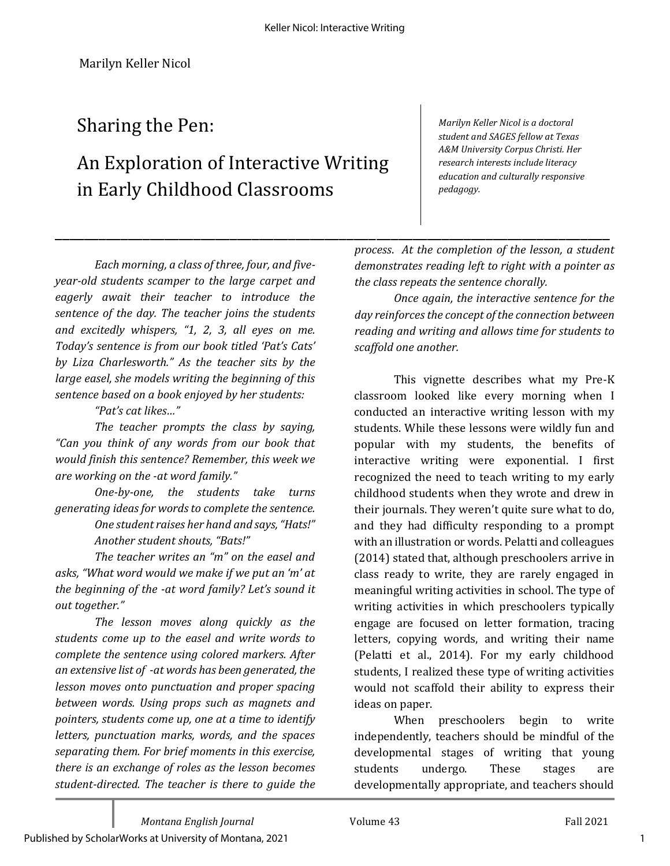## Sharing the Pen:

# An Exploration of Interactive Writing in Early Childhood Classrooms

*Marilyn Keller Nicol is a doctoral student and SAGES fellow at Texas A&M University Corpus Christi. Her research interests include literacy education and culturally responsive pedagogy.*

*Each morning, a class of three, four, and fiveyear-old students scamper to the large carpet and eagerly await their teacher to introduce the sentence of the day. The teacher joins the students and excitedly whispers, "1, 2, 3, all eyes on me. Today's sentence is from our book titled 'Pat's Cats' by Liza Charlesworth." As the teacher sits by the large easel, she models writing the beginning of this sentence based on a book enjoyed by her students:*

#### *"Pat's cat likes…"*

*The teacher prompts the class by saying, "Can you think of any words from our book that would finish this sentence? Remember, this week we are working on the -at word family."* 

*One-by-one, the students take turns generating ideas for words to complete the sentence.*

*One student raises her hand and says, "Hats!" Another student shouts, "Bats!"*

*The teacher writes an "m" on the easel and asks, "What word would we make if we put an 'm' at the beginning of the -at word family? Let's sound it out together."*

*The lesson moves along quickly as the students come up to the easel and write words to complete the sentence using colored markers. After an extensive list of -at words has been generated, the lesson moves onto punctuation and proper spacing between words. Using props such as magnets and pointers, students come up, one at a time to identify letters, punctuation marks, words, and the spaces separating them. For brief moments in this exercise, there is an exchange of roles as the lesson becomes student-directed. The teacher is there to guide the* 

\_\_\_\_\_\_\_\_\_\_\_\_\_\_\_\_\_\_\_\_\_\_\_\_\_\_\_\_\_\_\_\_\_\_\_\_\_\_\_\_\_\_\_\_\_\_\_\_\_\_\_\_\_\_\_\_\_\_\_\_\_\_\_\_\_\_\_\_\_\_\_\_\_\_\_\_ *process*. *At the completion of the lesson, a student demonstrates reading left to right with a pointer as the class repeats the sentence chorally.*

> *Once again, the interactive sentence for the day reinforces the concept of the connection between reading and writing and allows time for students to scaffold one another.*

This vignette describes what my Pre-K classroom looked like every morning when I conducted an interactive writing lesson with my students. While these lessons were wildly fun and popular with my students, the benefits of interactive writing were exponential. I first recognized the need to teach writing to my early childhood students when they wrote and drew in their journals. They weren't quite sure what to do, and they had difficulty responding to a prompt with an illustration or words. Pelatti and colleagues (2014) stated that, although preschoolers arrive in class ready to write, they are rarely engaged in meaningful writing activities in school. The type of writing activities in which preschoolers typically engage are focused on letter formation, tracing letters, copying words, and writing their name (Pelatti et al., 2014). For my early childhood students, I realized these type of writing activities would not scaffold their ability to express their ideas on paper.

When preschoolers begin to write independently, teachers should be mindful of the developmental stages of writing that young students undergo. These stages are developmentally appropriate, and teachers should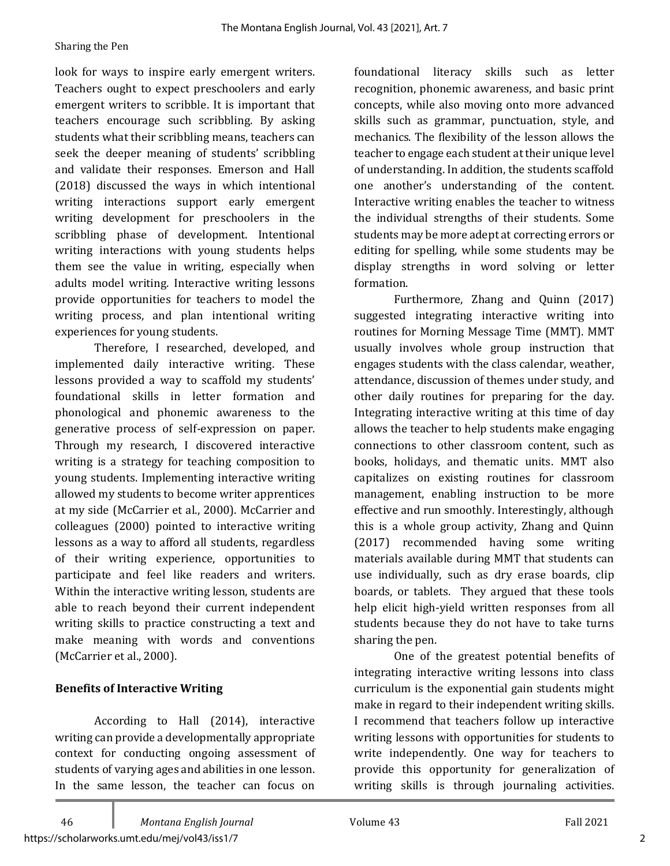#### Sharing the Pen

look for ways to inspire early emergent writers. Teachers ought to expect preschoolers and early emergent writers to scribble. It is important that teachers encourage such scribbling. By asking students what their scribbling means, teachers can seek the deeper meaning of students' scribbling and validate their responses. Emerson and Hall (2018) discussed the ways in which intentional writing interactions support early emergent writing development for preschoolers in the scribbling phase of development. Intentional writing interactions with young students helps them see the value in writing, especially when adults model writing. Interactive writing lessons provide opportunities for teachers to model the writing process, and plan intentional writing experiences for young students.

Therefore, I researched, developed, and implemented daily interactive writing. These lessons provided a way to scaffold my students' foundational skills in letter formation and phonological and phonemic awareness to the generative process of self-expression on paper. Through my research, I discovered interactive writing is a strategy for teaching composition to young students. Implementing interactive writing allowed my students to become writer apprentices at my side (McCarrier et al., 2000). McCarrier and colleagues (2000) pointed to interactive writing lessons as a way to afford all students, regardless of their writing experience, opportunities to participate and feel like readers and writers. Within the interactive writing lesson, students are able to reach beyond their current independent writing skills to practice constructing a text and make meaning with words and conventions (McCarrier et al., 2000).

### **Benefits of Interactive Writing**

According to Hall (2014), interactive writing can provide a developmentally appropriate context for conducting ongoing assessment of students of varying ages and abilities in one lesson. In the same lesson, the teacher can focus on

foundational literacy skills such as letter recognition, phonemic awareness, and basic print concepts, while also moving onto more advanced skills such as grammar, punctuation, style, and mechanics. The flexibility of the lesson allows the teacher to engage each student at their unique level of understanding. In addition, the students scaffold one another's understanding of the content. Interactive writing enables the teacher to witness the individual strengths of their students. Some students may be more adept at correcting errors or editing for spelling, while some students may be display strengths in word solving or letter formation.

Furthermore, Zhang and Quinn (2017) suggested integrating interactive writing into routines for Morning Message Time (MMT). MMT usually involves whole group instruction that engages students with the class calendar, weather, attendance, discussion of themes under study, and other daily routines for preparing for the day. Integrating interactive writing at this time of day allows the teacher to help students make engaging connections to other classroom content, such as books, holidays, and thematic units. MMT also capitalizes on existing routines for classroom management, enabling instruction to be more effective and run smoothly. Interestingly, although this is a whole group activity, Zhang and Quinn (2017) recommended having some writing materials available during MMT that students can use individually, such as dry erase boards, clip boards, or tablets. They argued that these tools help elicit high-yield written responses from all students because they do not have to take turns sharing the pen.

One of the greatest potential benefits of integrating interactive writing lessons into class curriculum is the exponential gain students might make in regard to their independent writing skills. I recommend that teachers follow up interactive writing lessons with opportunities for students to write independently. One way for teachers to provide this opportunity for generalization of writing skills is through journaling activities.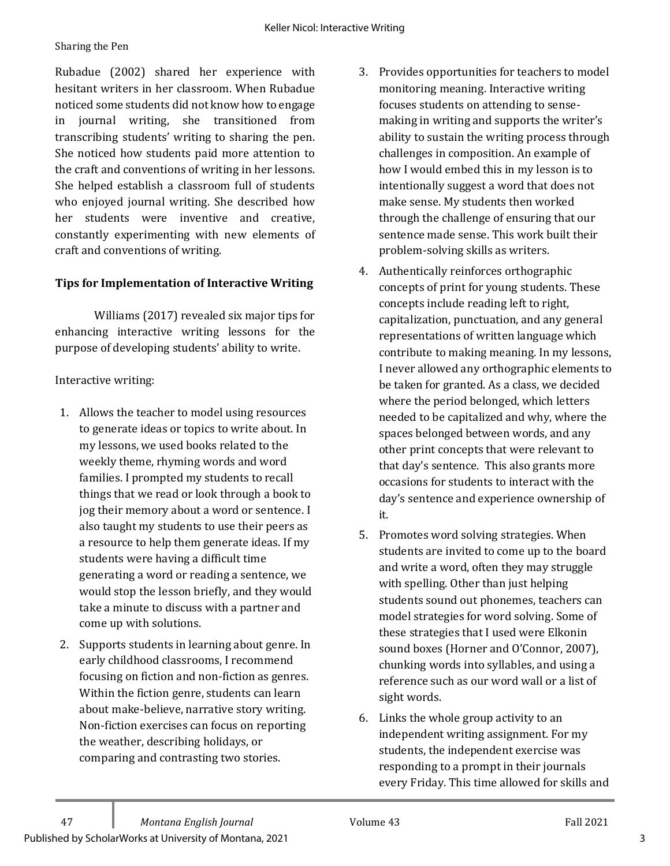Rubadue (2002) shared her experience with hesitant writers in her classroom. When Rubadue noticed some students did not know how to engage in journal writing, she transitioned from transcribing students' writing to sharing the pen. She noticed how students paid more attention to the craft and conventions of writing in her lessons. She helped establish a classroom full of students who enjoyed journal writing. She described how her students were inventive and creative, constantly experimenting with new elements of craft and conventions of writing.

## **Tips for Implementation of Interactive Writing**

Williams (2017) revealed six major tips for enhancing interactive writing lessons for the purpose of developing students' ability to write.

#### Interactive writing:

- 1. Allows the teacher to model using resources to generate ideas or topics to write about. In my lessons, we used books related to the weekly theme, rhyming words and word families. I prompted my students to recall things that we read or look through a book to jog their memory about a word or sentence. I also taught my students to use their peers as a resource to help them generate ideas. If my students were having a difficult time generating a word or reading a sentence, we would stop the lesson briefly, and they would take a minute to discuss with a partner and come up with solutions.
- 2. Supports students in learning about genre. In early childhood classrooms, I recommend focusing on fiction and non-fiction as genres. Within the fiction genre, students can learn about make-believe, narrative story writing. Non-fiction exercises can focus on reporting the weather, describing holidays, or comparing and contrasting two stories.
- 3. Provides opportunities for teachers to model monitoring meaning. Interactive writing focuses students on attending to sensemaking in writing and supports the writer's ability to sustain the writing process through challenges in composition. An example of how I would embed this in my lesson is to intentionally suggest a word that does not make sense. My students then worked through the challenge of ensuring that our sentence made sense. This work built their problem-solving skills as writers.
- 4. Authentically reinforces orthographic concepts of print for young students. These concepts include reading left to right, capitalization, punctuation, and any general representations of written language which contribute to making meaning. In my lessons, I never allowed any orthographic elements to be taken for granted. As a class, we decided where the period belonged, which letters needed to be capitalized and why, where the spaces belonged between words, and any other print concepts that were relevant to that day's sentence. This also grants more occasions for students to interact with the day's sentence and experience ownership of it.
- 5. Promotes word solving strategies. When students are invited to come up to the board and write a word, often they may struggle with spelling. Other than just helping students sound out phonemes, teachers can model strategies for word solving. Some of these strategies that I used were Elkonin sound boxes (Horner and O'Connor, 2007), chunking words into syllables, and using a reference such as our word wall or a list of sight words.
- 6. Links the whole group activity to an independent writing assignment. For my students, the independent exercise was responding to a prompt in their journals every Friday. This time allowed for skills and